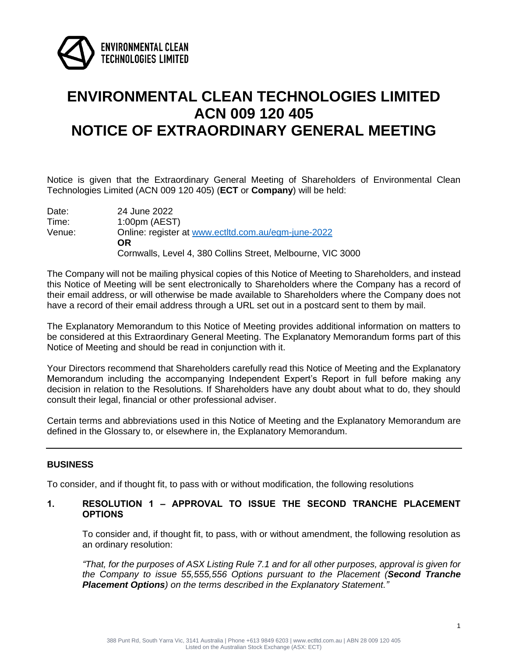

## **ENVIRONMENTAL CLEAN TECHNOLOGIES LIMITED ACN 009 120 405 NOTICE OF EXTRAORDINARY GENERAL MEETING**

Notice is given that the Extraordinary General Meeting of Shareholders of Environmental Clean Technologies Limited (ACN 009 120 405) (**ECT** or **Company**) will be held:

| Date:  | 24 June 2022                                                |
|--------|-------------------------------------------------------------|
| Time:  | $1:00 \text{pm}$ (AEST)                                     |
| Venue: | Online: register at www.ectltd.com.au/egm-june-2022         |
|        | OR                                                          |
|        | Cornwalls, Level 4, 380 Collins Street, Melbourne, VIC 3000 |

The Company will not be mailing physical copies of this Notice of Meeting to Shareholders, and instead this Notice of Meeting will be sent electronically to Shareholders where the Company has a record of their email address, or will otherwise be made available to Shareholders where the Company does not have a record of their email address through a URL set out in a postcard sent to them by mail.

The Explanatory Memorandum to this Notice of Meeting provides additional information on matters to be considered at this Extraordinary General Meeting. The Explanatory Memorandum forms part of this Notice of Meeting and should be read in conjunction with it.

Your Directors recommend that Shareholders carefully read this Notice of Meeting and the Explanatory Memorandum including the accompanying Independent Expert's Report in full before making any decision in relation to the Resolutions. If Shareholders have any doubt about what to do, they should consult their legal, financial or other professional adviser.

Certain terms and abbreviations used in this Notice of Meeting and the Explanatory Memorandum are defined in the Glossary to, or elsewhere in, the Explanatory Memorandum.

#### **BUSINESS**

To consider, and if thought fit, to pass with or without modification, the following resolutions

#### **1. RESOLUTION 1 – APPROVAL TO ISSUE THE SECOND TRANCHE PLACEMENT OPTIONS**

To consider and, if thought fit, to pass, with or without amendment, the following resolution as an ordinary resolution:

*"That, for the purposes of ASX Listing Rule 7.1 and for all other purposes, approval is given for the Company to issue 55,555,556 Options pursuant to the Placement (Second Tranche Placement Options) on the terms described in the Explanatory Statement."*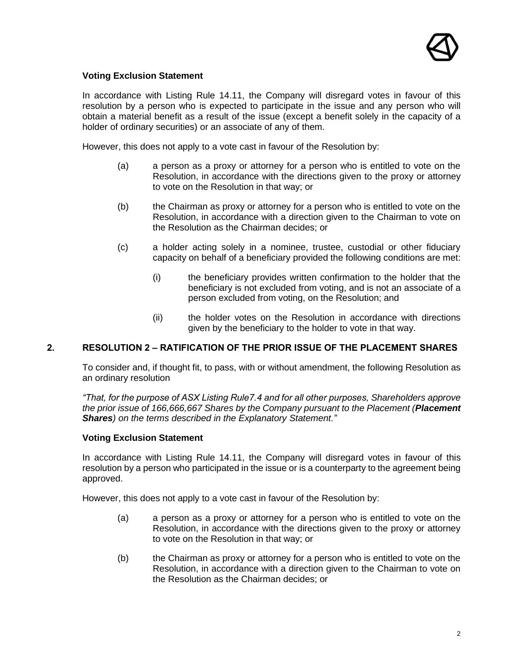

#### **Voting Exclusion Statement**

In accordance with Listing Rule 14.11, the Company will disregard votes in favour of this resolution by a person who is expected to participate in the issue and any person who will obtain a material benefit as a result of the issue (except a benefit solely in the capacity of a holder of ordinary securities) or an associate of any of them.

However, this does not apply to a vote cast in favour of the Resolution by:

- (a) a person as a proxy or attorney for a person who is entitled to vote on the Resolution, in accordance with the directions given to the proxy or attorney to vote on the Resolution in that way; or
- (b) the Chairman as proxy or attorney for a person who is entitled to vote on the Resolution, in accordance with a direction given to the Chairman to vote on the Resolution as the Chairman decides; or
- (c) a holder acting solely in a nominee, trustee, custodial or other fiduciary capacity on behalf of a beneficiary provided the following conditions are met:
	- (i) the beneficiary provides written confirmation to the holder that the beneficiary is not excluded from voting, and is not an associate of a person excluded from voting, on the Resolution; and
	- (ii) the holder votes on the Resolution in accordance with directions given by the beneficiary to the holder to vote in that way.

#### **2. RESOLUTION 2 – RATIFICATION OF THE PRIOR ISSUE OF THE PLACEMENT SHARES**

To consider and, if thought fit, to pass, with or without amendment, the following Resolution as an ordinary resolution

*"That, for the purpose of ASX Listing Rule7.4 and for all other purposes, Shareholders approve the prior issue of 166,666,667 Shares by the Company pursuant to the Placement (Placement Shares) on the terms described in the Explanatory Statement."*

#### **Voting Exclusion Statement**

In accordance with Listing Rule 14.11, the Company will disregard votes in favour of this resolution by a person who participated in the issue or is a counterparty to the agreement being approved.

However, this does not apply to a vote cast in favour of the Resolution by:

- (a) a person as a proxy or attorney for a person who is entitled to vote on the Resolution, in accordance with the directions given to the proxy or attorney to vote on the Resolution in that way; or
- (b) the Chairman as proxy or attorney for a person who is entitled to vote on the Resolution, in accordance with a direction given to the Chairman to vote on the Resolution as the Chairman decides; or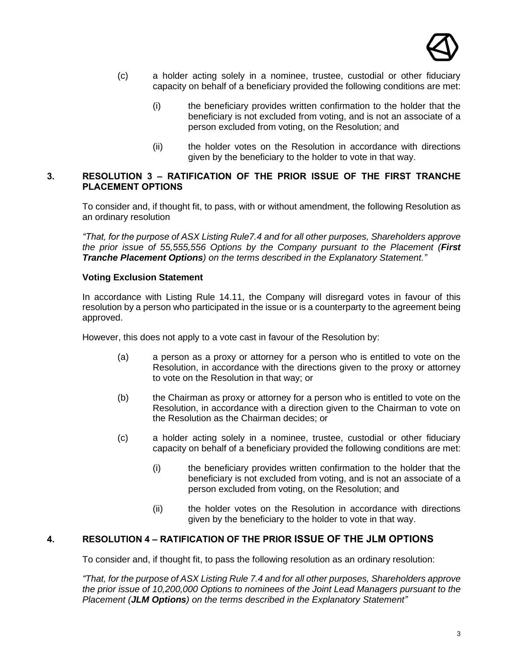

- (c) a holder acting solely in a nominee, trustee, custodial or other fiduciary capacity on behalf of a beneficiary provided the following conditions are met:
	- (i) the beneficiary provides written confirmation to the holder that the beneficiary is not excluded from voting, and is not an associate of a person excluded from voting, on the Resolution; and
	- (ii) the holder votes on the Resolution in accordance with directions given by the beneficiary to the holder to vote in that way.

#### **3. RESOLUTION 3 – RATIFICATION OF THE PRIOR ISSUE OF THE FIRST TRANCHE PLACEMENT OPTIONS**

To consider and, if thought fit, to pass, with or without amendment, the following Resolution as an ordinary resolution

*"That, for the purpose of ASX Listing Rule7.4 and for all other purposes, Shareholders approve the prior issue of 55,555,556 Options by the Company pursuant to the Placement (First Tranche Placement Options) on the terms described in the Explanatory Statement."*

#### **Voting Exclusion Statement**

In accordance with Listing Rule 14.11, the Company will disregard votes in favour of this resolution by a person who participated in the issue or is a counterparty to the agreement being approved.

However, this does not apply to a vote cast in favour of the Resolution by:

- (a) a person as a proxy or attorney for a person who is entitled to vote on the Resolution, in accordance with the directions given to the proxy or attorney to vote on the Resolution in that way; or
- (b) the Chairman as proxy or attorney for a person who is entitled to vote on the Resolution, in accordance with a direction given to the Chairman to vote on the Resolution as the Chairman decides; or
- (c) a holder acting solely in a nominee, trustee, custodial or other fiduciary capacity on behalf of a beneficiary provided the following conditions are met:
	- (i) the beneficiary provides written confirmation to the holder that the beneficiary is not excluded from voting, and is not an associate of a person excluded from voting, on the Resolution; and
	- (ii) the holder votes on the Resolution in accordance with directions given by the beneficiary to the holder to vote in that way.

#### **4. RESOLUTION 4 – RATIFICATION OF THE PRIOR ISSUE OF THE JLM OPTIONS**

To consider and, if thought fit, to pass the following resolution as an ordinary resolution:

*"That, for the purpose of ASX Listing Rule 7.4 and for all other purposes, Shareholders approve the prior issue of 10,200,000 Options to nominees of the Joint Lead Managers pursuant to the Placement (JLM Options) on the terms described in the Explanatory Statement"*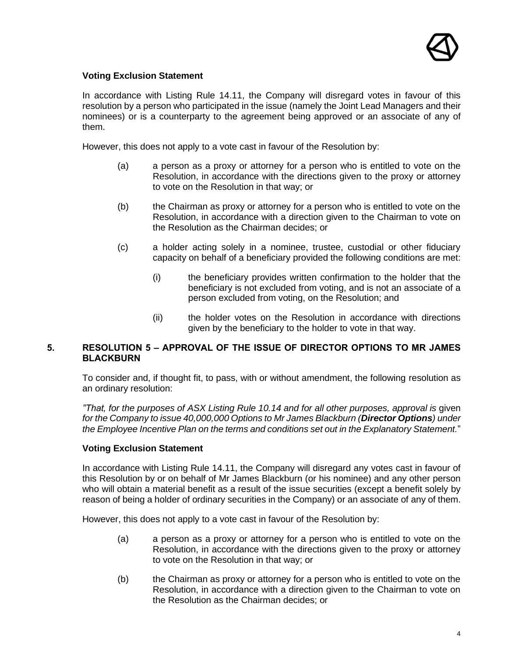

#### **Voting Exclusion Statement**

In accordance with Listing Rule 14.11, the Company will disregard votes in favour of this resolution by a person who participated in the issue (namely the Joint Lead Managers and their nominees) or is a counterparty to the agreement being approved or an associate of any of them.

However, this does not apply to a vote cast in favour of the Resolution by:

- (a) a person as a proxy or attorney for a person who is entitled to vote on the Resolution, in accordance with the directions given to the proxy or attorney to vote on the Resolution in that way; or
- (b) the Chairman as proxy or attorney for a person who is entitled to vote on the Resolution, in accordance with a direction given to the Chairman to vote on the Resolution as the Chairman decides; or
- (c) a holder acting solely in a nominee, trustee, custodial or other fiduciary capacity on behalf of a beneficiary provided the following conditions are met:
	- (i) the beneficiary provides written confirmation to the holder that the beneficiary is not excluded from voting, and is not an associate of a person excluded from voting, on the Resolution; and
	- (ii) the holder votes on the Resolution in accordance with directions given by the beneficiary to the holder to vote in that way.

#### **5. RESOLUTION 5 – APPROVAL OF THE ISSUE OF DIRECTOR OPTIONS TO MR JAMES BLACKBURN**

To consider and, if thought fit, to pass, with or without amendment, the following resolution as an ordinary resolution:

*"That, for the purposes of ASX Listing Rule 10.14 and for all other purposes, approval is* given *for the Company to issue 40,000,000 Options to Mr James Blackburn (Director Options) under the Employee Incentive Plan on the terms and conditions set out in the Explanatory Statement.*"

#### **Voting Exclusion Statement**

In accordance with Listing Rule 14.11, the Company will disregard any votes cast in favour of this Resolution by or on behalf of Mr James Blackburn (or his nominee) and any other person who will obtain a material benefit as a result of the issue securities (except a benefit solely by reason of being a holder of ordinary securities in the Company) or an associate of any of them.

However, this does not apply to a vote cast in favour of the Resolution by:

- (a) a person as a proxy or attorney for a person who is entitled to vote on the Resolution, in accordance with the directions given to the proxy or attorney to vote on the Resolution in that way; or
- (b) the Chairman as proxy or attorney for a person who is entitled to vote on the Resolution, in accordance with a direction given to the Chairman to vote on the Resolution as the Chairman decides; or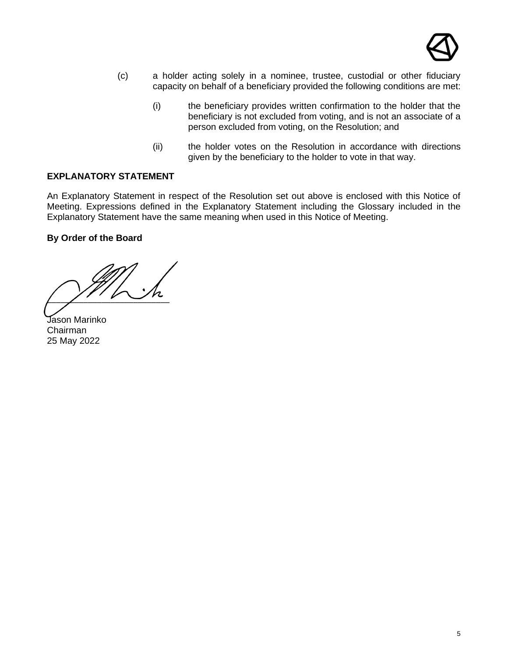

- (c) a holder acting solely in a nominee, trustee, custodial or other fiduciary capacity on behalf of a beneficiary provided the following conditions are met:
	- (i) the beneficiary provides written confirmation to the holder that the beneficiary is not excluded from voting, and is not an associate of a person excluded from voting, on the Resolution; and
	- (ii) the holder votes on the Resolution in accordance with directions given by the beneficiary to the holder to vote in that way.

#### **EXPLANATORY STATEMENT**

An Explanatory Statement in respect of the Resolution set out above is enclosed with this Notice of Meeting. Expressions defined in the Explanatory Statement including the Glossary included in the Explanatory Statement have the same meaning when used in this Notice of Meeting.

#### **By Order of the Board**

 $\sqrt{2\pi}$ 

Jason Marinko Chairman 25 May 2022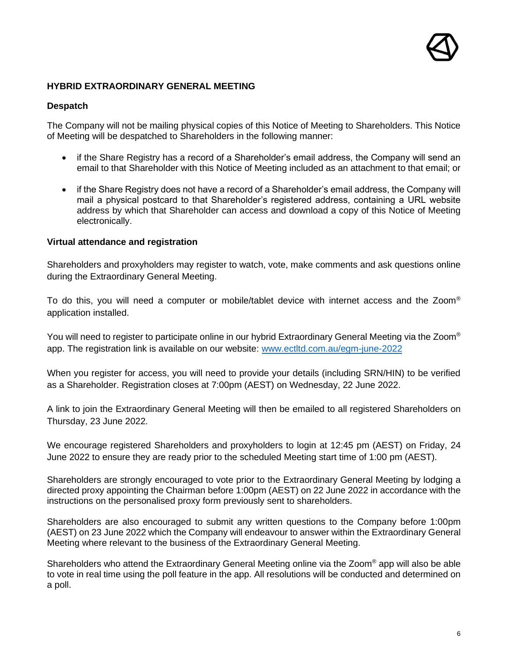#### **HYBRID EXTRAORDINARY GENERAL MEETING**

#### **Despatch**

The Company will not be mailing physical copies of this Notice of Meeting to Shareholders. This Notice of Meeting will be despatched to Shareholders in the following manner:

- if the Share Registry has a record of a Shareholder's email address, the Company will send an email to that Shareholder with this Notice of Meeting included as an attachment to that email; or
- if the Share Registry does not have a record of a Shareholder's email address, the Company will mail a physical postcard to that Shareholder's registered address, containing a URL website address by which that Shareholder can access and download a copy of this Notice of Meeting electronically.

#### **Virtual attendance and registration**

Shareholders and proxyholders may register to watch, vote, make comments and ask questions online during the Extraordinary General Meeting.

To do this, you will need a computer or mobile/tablet device with internet access and the Zoom® application installed.

You will need to register to participate online in our hybrid Extraordinary General Meeting via the Zoom<sup>®</sup> app. The registration link is available on our website: [www.ectltd.com.au/egm-june-2022](http://www.ectltd.com.au/egm-june-2022)

When you register for access, you will need to provide your details (including SRN/HIN) to be verified as a Shareholder. Registration closes at 7:00pm (AEST) on Wednesday, 22 June 2022.

A link to join the Extraordinary General Meeting will then be emailed to all registered Shareholders on Thursday, 23 June 2022.

We encourage registered Shareholders and proxyholders to login at 12:45 pm (AEST) on Friday, 24 June 2022 to ensure they are ready prior to the scheduled Meeting start time of 1:00 pm (AEST).

Shareholders are strongly encouraged to vote prior to the Extraordinary General Meeting by lodging a directed proxy appointing the Chairman before 1:00pm (AEST) on 22 June 2022 in accordance with the instructions on the personalised proxy form previously sent to shareholders.

Shareholders are also encouraged to submit any written questions to the Company before 1:00pm (AEST) on 23 June 2022 which the Company will endeavour to answer within the Extraordinary General Meeting where relevant to the business of the Extraordinary General Meeting.

Shareholders who attend the Extraordinary General Meeting online via the Zoom® app will also be able to vote in real time using the poll feature in the app. All resolutions will be conducted and determined on a poll.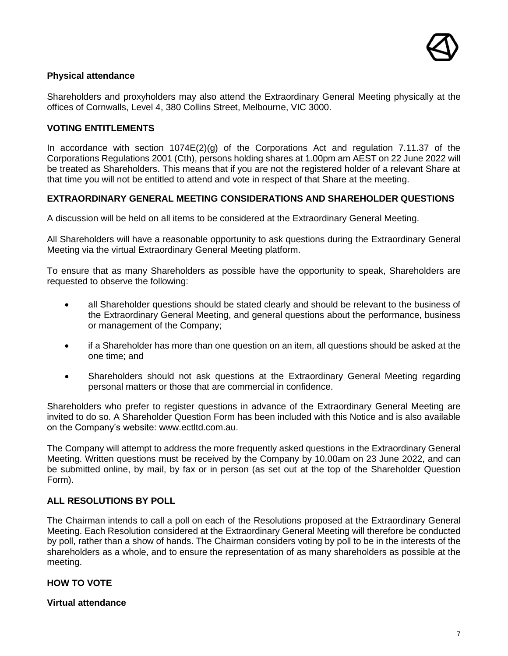

#### **Physical attendance**

Shareholders and proxyholders may also attend the Extraordinary General Meeting physically at the offices of Cornwalls, Level 4, 380 Collins Street, Melbourne, VIC 3000.

#### **VOTING ENTITLEMENTS**

In accordance with section 1074E(2)(g) of the Corporations Act and regulation 7.11.37 of the Corporations Regulations 2001 (Cth), persons holding shares at 1.00pm am AEST on 22 June 2022 will be treated as Shareholders. This means that if you are not the registered holder of a relevant Share at that time you will not be entitled to attend and vote in respect of that Share at the meeting.

#### **EXTRAORDINARY GENERAL MEETING CONSIDERATIONS AND SHAREHOLDER QUESTIONS**

A discussion will be held on all items to be considered at the Extraordinary General Meeting.

All Shareholders will have a reasonable opportunity to ask questions during the Extraordinary General Meeting via the virtual Extraordinary General Meeting platform.

To ensure that as many Shareholders as possible have the opportunity to speak, Shareholders are requested to observe the following:

- all Shareholder questions should be stated clearly and should be relevant to the business of the Extraordinary General Meeting, and general questions about the performance, business or management of the Company;
- if a Shareholder has more than one question on an item, all questions should be asked at the one time; and
- Shareholders should not ask questions at the Extraordinary General Meeting regarding personal matters or those that are commercial in confidence.

Shareholders who prefer to register questions in advance of the Extraordinary General Meeting are invited to do so. A Shareholder Question Form has been included with this Notice and is also available on the Company's website: www.ectltd.com.au.

The Company will attempt to address the more frequently asked questions in the Extraordinary General Meeting. Written questions must be received by the Company by 10.00am on 23 June 2022, and can be submitted online, by mail, by fax or in person (as set out at the top of the Shareholder Question Form).

#### **ALL RESOLUTIONS BY POLL**

The Chairman intends to call a poll on each of the Resolutions proposed at the Extraordinary General Meeting. Each Resolution considered at the Extraordinary General Meeting will therefore be conducted by poll, rather than a show of hands. The Chairman considers voting by poll to be in the interests of the shareholders as a whole, and to ensure the representation of as many shareholders as possible at the meeting.

#### **HOW TO VOTE**

**Virtual attendance**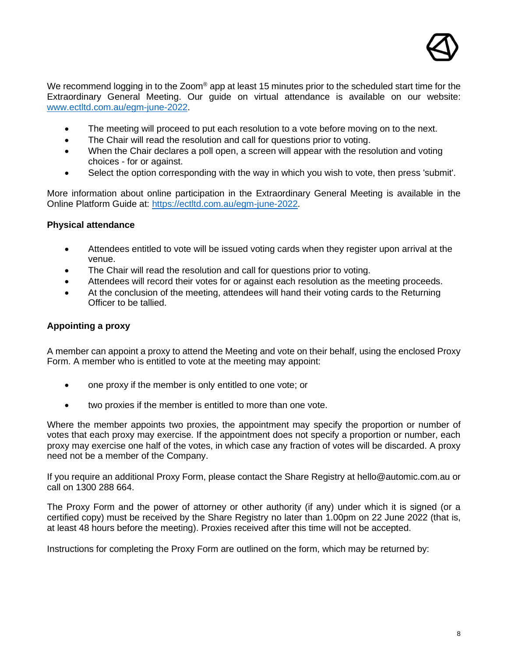

We recommend logging in to the Zoom® app at least 15 minutes prior to the scheduled start time for the Extraordinary General Meeting. Our guide on virtual attendance is available on our website: [www.ectltd.com.au/egm-june-2022.](http://www.ectltd.com.au/egm-june-2022)

- The meeting will proceed to put each resolution to a vote before moving on to the next.
- The Chair will read the resolution and call for questions prior to voting.
- When the Chair declares a poll open, a screen will appear with the resolution and voting choices - for or against.
- Select the option corresponding with the way in which you wish to vote, then press 'submit'.

More information about online participation in the Extraordinary General Meeting is available in the Online Platform Guide at: [https://ectltd.com.au/egm-june-2022.](https://ectltd.com.au/egm-june-2022)

#### **Physical attendance**

- Attendees entitled to vote will be issued voting cards when they register upon arrival at the venue.
- The Chair will read the resolution and call for questions prior to voting.
- Attendees will record their votes for or against each resolution as the meeting proceeds.
- At the conclusion of the meeting, attendees will hand their voting cards to the Returning Officer to be tallied.

#### **Appointing a proxy**

A member can appoint a proxy to attend the Meeting and vote on their behalf, using the enclosed Proxy Form. A member who is entitled to vote at the meeting may appoint:

- one proxy if the member is only entitled to one vote; or
- two proxies if the member is entitled to more than one vote.

Where the member appoints two proxies, the appointment may specify the proportion or number of votes that each proxy may exercise. If the appointment does not specify a proportion or number, each proxy may exercise one half of the votes, in which case any fraction of votes will be discarded. A proxy need not be a member of the Company.

If you require an additional Proxy Form, please contact the Share Registry at [hello@automic.com.au](mailto:hello@automic.com.au) or call on 1300 288 664.

The Proxy Form and the power of attorney or other authority (if any) under which it is signed (or a certified copy) must be received by the Share Registry no later than 1.00pm on 22 June 2022 (that is, at least 48 hours before the meeting). Proxies received after this time will not be accepted.

Instructions for completing the Proxy Form are outlined on the form, which may be returned by: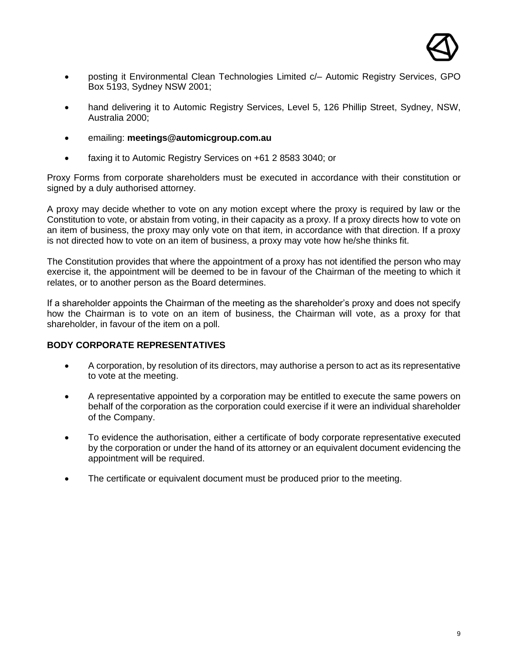

- posting it Environmental Clean Technologies Limited c/– Automic Registry Services, GPO Box 5193, Sydney NSW 2001;
- hand delivering it to Automic Registry Services, Level 5, 126 Phillip Street, Sydney, NSW, Australia 2000;
- emailing: **meetings@automicgroup.com.au**
- faxing it to Automic Registry Services on +61 2 8583 3040; or

Proxy Forms from corporate shareholders must be executed in accordance with their constitution or signed by a duly authorised attorney.

A proxy may decide whether to vote on any motion except where the proxy is required by law or the Constitution to vote, or abstain from voting, in their capacity as a proxy. If a proxy directs how to vote on an item of business, the proxy may only vote on that item, in accordance with that direction. If a proxy is not directed how to vote on an item of business, a proxy may vote how he/she thinks fit.

The Constitution provides that where the appointment of a proxy has not identified the person who may exercise it, the appointment will be deemed to be in favour of the Chairman of the meeting to which it relates, or to another person as the Board determines.

If a shareholder appoints the Chairman of the meeting as the shareholder's proxy and does not specify how the Chairman is to vote on an item of business, the Chairman will vote, as a proxy for that shareholder, in favour of the item on a poll.

#### **BODY CORPORATE REPRESENTATIVES**

- A corporation, by resolution of its directors, may authorise a person to act as its representative to vote at the meeting.
- A representative appointed by a corporation may be entitled to execute the same powers on behalf of the corporation as the corporation could exercise if it were an individual shareholder of the Company.
- To evidence the authorisation, either a certificate of body corporate representative executed by the corporation or under the hand of its attorney or an equivalent document evidencing the appointment will be required.
- The certificate or equivalent document must be produced prior to the meeting.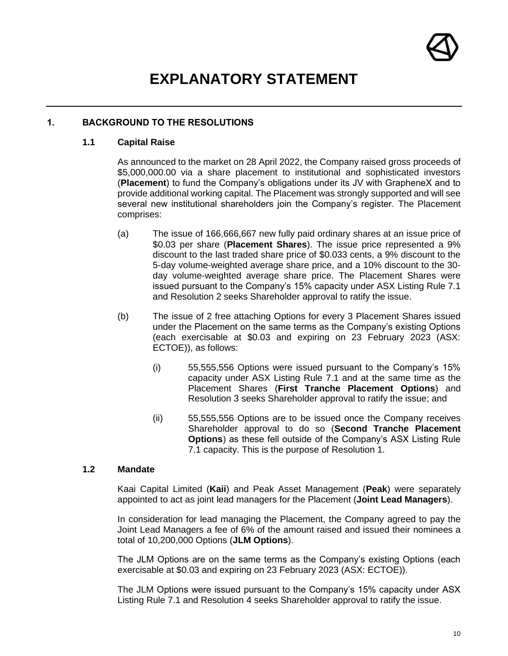

## **EXPLANATORY STATEMENT**

#### <span id="page-9-0"></span>**1. BACKGROUND TO THE RESOLUTIONS**

#### **1.1 Capital Raise**

As announced to the market on 28 April 2022, the Company raised gross proceeds of \$5,000,000.00 via a share placement to institutional and sophisticated investors (**Placement**) to fund the Company's obligations under its JV with GrapheneX and to provide additional working capital. The Placement was strongly supported and will see several new institutional shareholders join the Company's register. The Placement comprises:

- (a) The issue of 166,666,667 new fully paid ordinary shares at an issue price of \$0.03 per share (**Placement Shares**). The issue price represented a 9% discount to the last traded share price of \$0.033 cents, a 9% discount to the 5-day volume-weighted average share price, and a 10% discount to the 30 day volume-weighted average share price. The Placement Shares were issued pursuant to the Company's 15% capacity under ASX Listing Rule 7.1 and Resolution 2 seeks Shareholder approval to ratify the issue.
- (b) The issue of 2 free attaching Options for every 3 Placement Shares issued under the Placement on the same terms as the Company's existing Options (each exercisable at \$0.03 and expiring on 23 February 2023 (ASX: ECTOE)), as follows:
	- (i) 55,555,556 Options were issued pursuant to the Company's 15% capacity under ASX Listing Rule 7.1 and at the same time as the Placement Shares (**First Tranche Placement Options**) and Resolution 3 seeks Shareholder approval to ratify the issue; and
	- (ii) 55,555,556 Options are to be issued once the Company receives Shareholder approval to do so (**Second Tranche Placement Options**) as these fell outside of the Company's ASX Listing Rule 7.1 capacity. This is the purpose of Resolution 1.

#### **1.2 Mandate**

Kaai Capital Limited (**Kaii**) and Peak Asset Management (**Peak**) were separately appointed to act as joint lead managers for the Placement (**Joint Lead Managers**).

In consideration for lead managing the Placement, the Company agreed to pay the Joint Lead Managers a fee of 6% of the amount raised and issued their nominees a total of 10,200,000 Options (**JLM Options**).

The JLM Options are on the same terms as the Company's existing Options (each exercisable at \$0.03 and expiring on 23 February 2023 (ASX: ECTOE)).

The JLM Options were issued pursuant to the Company's 15% capacity under ASX Listing Rule 7.1 and Resolution 4 seeks Shareholder approval to ratify the issue.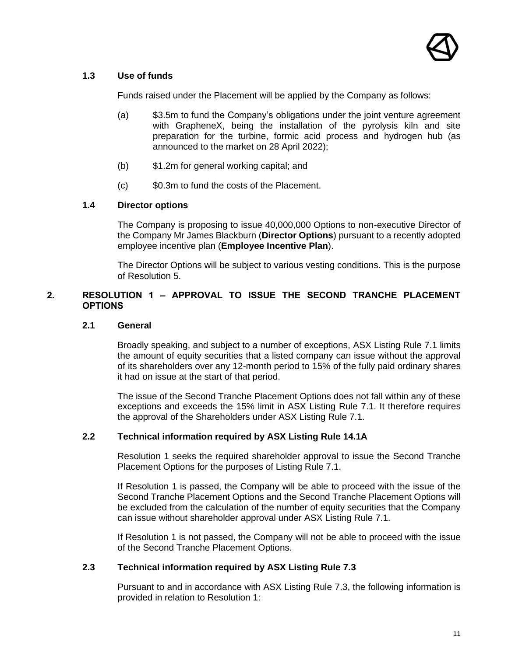

#### <span id="page-10-0"></span>**1.3 Use of funds**

Funds raised under the Placement will be applied by the Company as follows:

- (a) \$3.5m to fund the Company's obligations under the joint venture agreement with GrapheneX, being the installation of the pyrolysis kiln and site preparation for the turbine, formic acid process and hydrogen hub (as announced to the market on 28 April 2022);
- (b) \$1.2m for general working capital; and
- (c) \$0.3m to fund the costs of the Placement.

#### **1.4 Director options**

The Company is proposing to issue 40,000,000 Options to non-executive Director of the Company Mr James Blackburn (**Director Options**) pursuant to a recently adopted employee incentive plan (**Employee Incentive Plan**).

The Director Options will be subject to various vesting conditions. This is the purpose of Resolution 5.

#### **2. RESOLUTION 1 – APPROVAL TO ISSUE THE SECOND TRANCHE PLACEMENT OPTIONS**

#### **2.1 General**

Broadly speaking, and subject to a number of exceptions, ASX Listing Rule 7.1 limits the amount of equity securities that a listed company can issue without the approval of its shareholders over any 12-month period to 15% of the fully paid ordinary shares it had on issue at the start of that period.

The issue of the Second Tranche Placement Options does not fall within any of these exceptions and exceeds the 15% limit in ASX Listing Rule 7.1. It therefore requires the approval of the Shareholders under ASX Listing Rule 7.1.

#### **2.2 Technical information required by ASX Listing Rule 14.1A**

Resolution 1 seeks the required shareholder approval to issue the Second Tranche Placement Options for the purposes of Listing Rule 7.1.

If Resolution 1 is passed, the Company will be able to proceed with the issue of the Second Tranche Placement Options and the Second Tranche Placement Options will be excluded from the calculation of the number of equity securities that the Company can issue without shareholder approval under ASX Listing Rule 7.1.

If Resolution 1 is not passed, the Company will not be able to proceed with the issue of the Second Tranche Placement Options.

#### **2.3 Technical information required by ASX Listing Rule 7.3**

Pursuant to and in accordance with ASX Listing Rule 7.3, the following information is provided in relation to Resolution 1: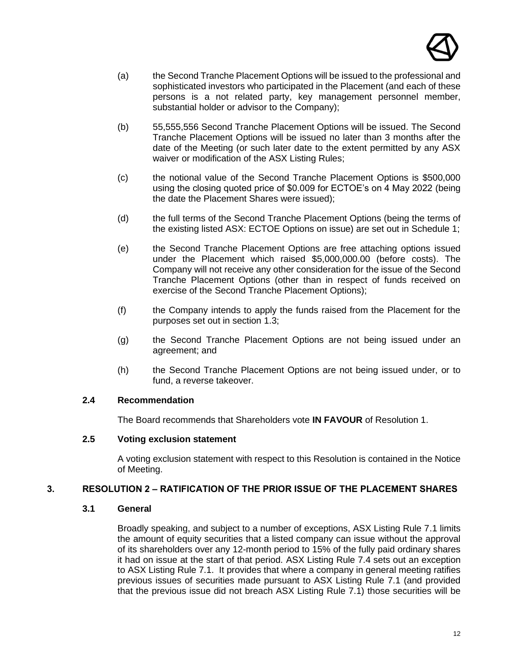

- (a) the Second Tranche Placement Options will be issued to the professional and sophisticated investors who participated in the Placement (and each of these persons is a not related party, key management personnel member, substantial holder or advisor to the Company);
- (b) 55,555,556 Second Tranche Placement Options will be issued. The Second Tranche Placement Options will be issued no later than 3 months after the date of the Meeting (or such later date to the extent permitted by any ASX waiver or modification of the ASX Listing Rules;
- (c) the notional value of the Second Tranche Placement Options is \$500,000 using the closing quoted price of \$0.009 for ECTOE's on 4 May 2022 (being the date the Placement Shares were issued);
- (d) the full terms of the Second Tranche Placement Options (being the terms of the existing listed ASX: ECTOE Options on issue) are set out in [Schedule 1;](#page-22-0)
- (e) the Second Tranche Placement Options are free attaching options issued under the Placement which raised \$5,000,000.00 (before costs). The Company will not receive any other consideration for the issue of the Second Tranche Placement Options (other than in respect of funds received on exercise of the Second Tranche Placement Options);
- (f) the Company intends to apply the funds raised from the Placement for the purposes set out in section [1.3;](#page-10-0)
- (g) the Second Tranche Placement Options are not being issued under an agreement; and
- (h) the Second Tranche Placement Options are not being issued under, or to fund, a reverse takeover.

#### **2.4 Recommendation**

The Board recommends that Shareholders vote **IN FAVOUR** of Resolution 1.

#### **2.5 Voting exclusion statement**

A voting exclusion statement with respect to this Resolution is contained in the Notice of Meeting.

#### **3. RESOLUTION 2 – RATIFICATION OF THE PRIOR ISSUE OF THE PLACEMENT SHARES**

#### **3.1 General**

Broadly speaking, and subject to a number of exceptions, ASX Listing Rule 7.1 limits the amount of equity securities that a listed company can issue without the approval of its shareholders over any 12-month period to 15% of the fully paid ordinary shares it had on issue at the start of that period. ASX Listing Rule 7.4 sets out an exception to ASX Listing Rule 7.1. It provides that where a company in general meeting ratifies previous issues of securities made pursuant to ASX Listing Rule 7.1 (and provided that the previous issue did not breach ASX Listing Rule 7.1) those securities will be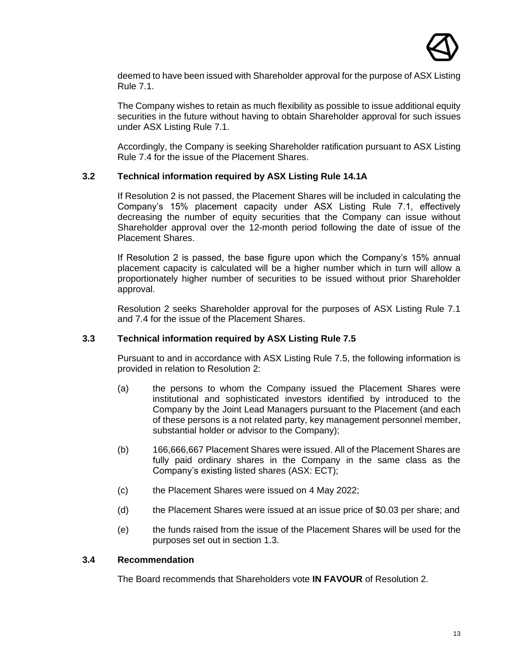

deemed to have been issued with Shareholder approval for the purpose of ASX Listing Rule 7.1.

The Company wishes to retain as much flexibility as possible to issue additional equity securities in the future without having to obtain Shareholder approval for such issues under ASX Listing Rule 7.1.

Accordingly, the Company is seeking Shareholder ratification pursuant to ASX Listing Rule 7.4 for the issue of the Placement Shares.

#### **3.2 Technical information required by ASX Listing Rule 14.1A**

If Resolution 2 is not passed, the Placement Shares will be included in calculating the Company's 15% placement capacity under ASX Listing Rule 7.1, effectively decreasing the number of equity securities that the Company can issue without Shareholder approval over the 12-month period following the date of issue of the Placement Shares.

If Resolution 2 is passed, the base figure upon which the Company's 15% annual placement capacity is calculated will be a higher number which in turn will allow a proportionately higher number of securities to be issued without prior Shareholder approval.

Resolution 2 seeks Shareholder approval for the purposes of ASX Listing Rule 7.1 and 7.4 for the issue of the Placement Shares.

#### **3.3 Technical information required by ASX Listing Rule 7.5**

Pursuant to and in accordance with ASX Listing Rule 7.5, the following information is provided in relation to Resolution 2:

- (a) the persons to whom the Company issued the Placement Shares were institutional and sophisticated investors identified by introduced to the Company by the Joint Lead Managers pursuant to the Placement (and each of these persons is a not related party, key management personnel member, substantial holder or advisor to the Company);
- (b) 166,666,667 Placement Shares were issued. All of the Placement Shares are fully paid ordinary shares in the Company in the same class as the Company's existing listed shares (ASX: ECT);
- (c) the Placement Shares were issued on 4 May 2022;
- (d) the Placement Shares were issued at an issue price of \$0.03 per share; and
- (e) the funds raised from the issue of the Placement Shares will be used for the purposes set out in section [1.3.](#page-10-0)

#### **3.4 Recommendation**

The Board recommends that Shareholders vote **IN FAVOUR** of Resolution 2.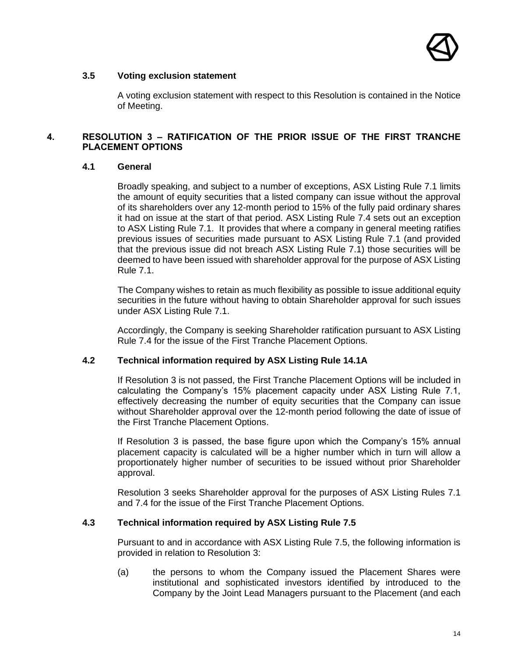

#### **3.5 Voting exclusion statement**

A voting exclusion statement with respect to this Resolution is contained in the Notice of Meeting.

#### **4. RESOLUTION 3 – RATIFICATION OF THE PRIOR ISSUE OF THE FIRST TRANCHE PLACEMENT OPTIONS**

#### **4.1 General**

Broadly speaking, and subject to a number of exceptions, ASX Listing Rule 7.1 limits the amount of equity securities that a listed company can issue without the approval of its shareholders over any 12-month period to 15% of the fully paid ordinary shares it had on issue at the start of that period. ASX Listing Rule 7.4 sets out an exception to ASX Listing Rule 7.1. It provides that where a company in general meeting ratifies previous issues of securities made pursuant to ASX Listing Rule 7.1 (and provided that the previous issue did not breach ASX Listing Rule 7.1) those securities will be deemed to have been issued with shareholder approval for the purpose of ASX Listing Rule 7.1.

The Company wishes to retain as much flexibility as possible to issue additional equity securities in the future without having to obtain Shareholder approval for such issues under ASX Listing Rule 7.1.

Accordingly, the Company is seeking Shareholder ratification pursuant to ASX Listing Rule 7.4 for the issue of the First Tranche Placement Options.

#### **4.2 Technical information required by ASX Listing Rule 14.1A**

If Resolution 3 is not passed, the First Tranche Placement Options will be included in calculating the Company's 15% placement capacity under ASX Listing Rule 7.1, effectively decreasing the number of equity securities that the Company can issue without Shareholder approval over the 12-month period following the date of issue of the First Tranche Placement Options.

If Resolution 3 is passed, the base figure upon which the Company's 15% annual placement capacity is calculated will be a higher number which in turn will allow a proportionately higher number of securities to be issued without prior Shareholder approval.

Resolution 3 seeks Shareholder approval for the purposes of ASX Listing Rules 7.1 and 7.4 for the issue of the First Tranche Placement Options.

#### **4.3 Technical information required by ASX Listing Rule 7.5**

Pursuant to and in accordance with ASX Listing Rule 7.5, the following information is provided in relation to Resolution 3:

(a) the persons to whom the Company issued the Placement Shares were institutional and sophisticated investors identified by introduced to the Company by the Joint Lead Managers pursuant to the Placement (and each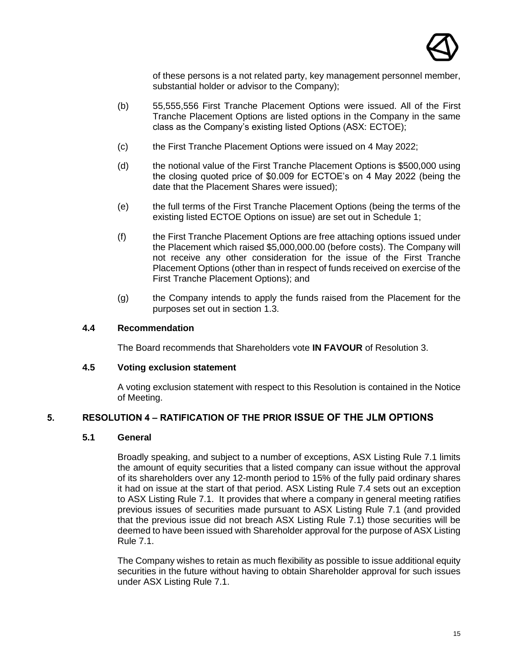

of these persons is a not related party, key management personnel member, substantial holder or advisor to the Company);

- (b) 55,555,556 First Tranche Placement Options were issued. All of the First Tranche Placement Options are listed options in the Company in the same class as the Company's existing listed Options (ASX: ECTOE);
- (c) the First Tranche Placement Options were issued on 4 May 2022;
- (d) the notional value of the First Tranche Placement Options is \$500,000 using the closing quoted price of \$0.009 for ECTOE's on 4 May 2022 (being the date that the Placement Shares were issued);
- (e) the full terms of the First Tranche Placement Options (being the terms of the existing listed ECTOE Options on issue) are set out in [Schedule 1;](#page-22-0)
- (f) the First Tranche Placement Options are free attaching options issued under the Placement which raised \$5,000,000.00 (before costs). The Company will not receive any other consideration for the issue of the First Tranche Placement Options (other than in respect of funds received on exercise of the First Tranche Placement Options); and
- (g) the Company intends to apply the funds raised from the Placement for the purposes set out in section [1.3.](#page-10-0)

#### **4.4 Recommendation**

The Board recommends that Shareholders vote **IN FAVOUR** of Resolution 3.

#### **4.5 Voting exclusion statement**

A voting exclusion statement with respect to this Resolution is contained in the Notice of Meeting.

#### **5. RESOLUTION 4 – RATIFICATION OF THE PRIOR ISSUE OF THE JLM OPTIONS**

#### **5.1 General**

Broadly speaking, and subject to a number of exceptions, ASX Listing Rule 7.1 limits the amount of equity securities that a listed company can issue without the approval of its shareholders over any 12-month period to 15% of the fully paid ordinary shares it had on issue at the start of that period. ASX Listing Rule 7.4 sets out an exception to ASX Listing Rule 7.1. It provides that where a company in general meeting ratifies previous issues of securities made pursuant to ASX Listing Rule 7.1 (and provided that the previous issue did not breach ASX Listing Rule 7.1) those securities will be deemed to have been issued with Shareholder approval for the purpose of ASX Listing Rule 7.1.

The Company wishes to retain as much flexibility as possible to issue additional equity securities in the future without having to obtain Shareholder approval for such issues under ASX Listing Rule 7.1.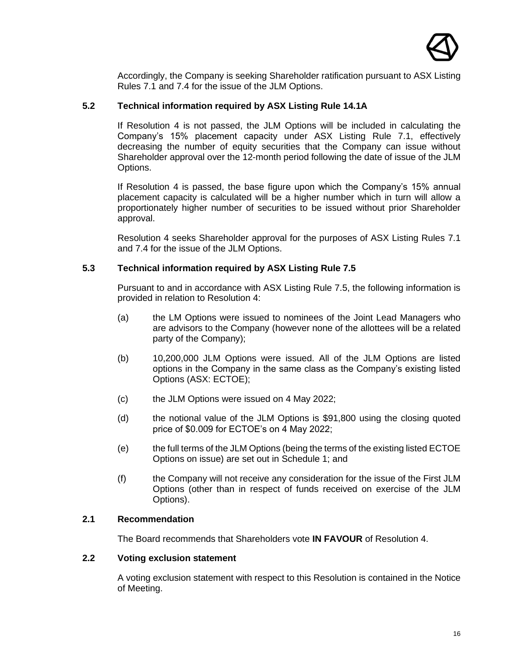

Accordingly, the Company is seeking Shareholder ratification pursuant to ASX Listing Rules 7.1 and 7.4 for the issue of the JLM Options.

#### **5.2 Technical information required by ASX Listing Rule 14.1A**

If Resolution 4 is not passed, the JLM Options will be included in calculating the Company's 15% placement capacity under ASX Listing Rule 7.1, effectively decreasing the number of equity securities that the Company can issue without Shareholder approval over the 12-month period following the date of issue of the JLM Options.

If Resolution 4 is passed, the base figure upon which the Company's 15% annual placement capacity is calculated will be a higher number which in turn will allow a proportionately higher number of securities to be issued without prior Shareholder approval.

Resolution 4 seeks Shareholder approval for the purposes of ASX Listing Rules 7.1 and 7.4 for the issue of the JLM Options.

#### **5.3 Technical information required by ASX Listing Rule 7.5**

Pursuant to and in accordance with ASX Listing Rule 7.5, the following information is provided in relation to Resolution 4:

- (a) the LM Options were issued to nominees of the Joint Lead Managers who are advisors to the Company (however none of the allottees will be a related party of the Company);
- (b) 10,200,000 JLM Options were issued. All of the JLM Options are listed options in the Company in the same class as the Company's existing listed Options (ASX: ECTOE);
- (c) the JLM Options were issued on 4 May 2022;
- (d) the notional value of the JLM Options is \$91,800 using the closing quoted price of \$0.009 for ECTOE's on 4 May 2022;
- (e) the full terms of the JLM Options (being the terms of the existing listed ECTOE Options on issue) are set out in [Schedule 1;](#page-22-0) and
- (f) the Company will not receive any consideration for the issue of the First JLM Options (other than in respect of funds received on exercise of the JLM Options).

#### **2.1 Recommendation**

The Board recommends that Shareholders vote **IN FAVOUR** of Resolution 4.

#### **2.2 Voting exclusion statement**

A voting exclusion statement with respect to this Resolution is contained in the Notice of Meeting.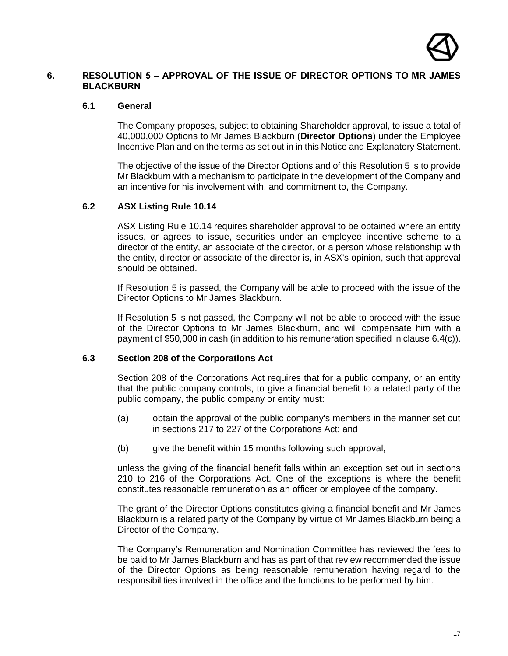

#### **6. RESOLUTION 5 – APPROVAL OF THE ISSUE OF DIRECTOR OPTIONS TO MR JAMES BLACKBURN**

#### **6.1 General**

The Company proposes, subject to obtaining Shareholder approval, to issue a total of 40,000,000 Options to Mr James Blackburn (**Director Options**) under the Employee Incentive Plan and on the terms as set out in in this Notice and Explanatory Statement.

The objective of the issue of the Director Options and of this Resolution 5 is to provide Mr Blackburn with a mechanism to participate in the development of the Company and an incentive for his involvement with, and commitment to, the Company.

#### **6.2 ASX Listing Rule 10.14**

ASX Listing Rule 10.14 requires shareholder approval to be obtained where an entity issues, or agrees to issue, securities under an employee incentive scheme to a director of the entity, an associate of the director, or a person whose relationship with the entity, director or associate of the director is, in ASX's opinion, such that approval should be obtained.

If Resolution 5 is passed, the Company will be able to proceed with the issue of the Director Options to Mr James Blackburn.

If Resolution 5 is not passed, the Company will not be able to proceed with the issue of the Director Options to Mr James Blackburn, and will compensate him with a payment of \$50,000 in cash (in addition to his remuneration specified in clause [6.4\(c\)\)](#page-17-0).

#### **6.3 Section 208 of the Corporations Act**

Section 208 of the Corporations Act requires that for a public company, or an entity that the public company controls, to give a financial benefit to a related party of the public company, the public company or entity must:

- (a) obtain the approval of the public company's members in the manner set out in sections 217 to 227 of the Corporations Act; and
- (b) give the benefit within 15 months following such approval,

unless the giving of the financial benefit falls within an exception set out in sections 210 to 216 of the Corporations Act. One of the exceptions is where the benefit constitutes reasonable remuneration as an officer or employee of the company.

The grant of the Director Options constitutes giving a financial benefit and Mr James Blackburn is a related party of the Company by virtue of Mr James Blackburn being a Director of the Company.

The Company's Remuneration and Nomination Committee has reviewed the fees to be paid to Mr James Blackburn and has as part of that review recommended the issue of the Director Options as being reasonable remuneration having regard to the responsibilities involved in the office and the functions to be performed by him.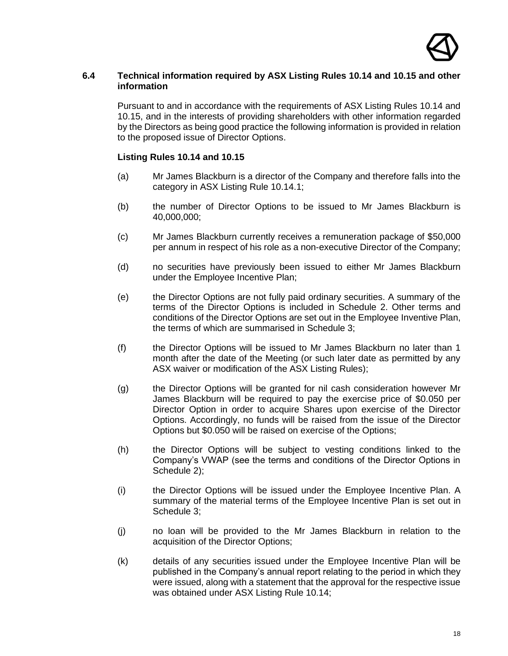

#### **6.4 Technical information required by ASX Listing Rules 10.14 and 10.15 and other information**

Pursuant to and in accordance with the requirements of ASX Listing Rules 10.14 and 10.15, and in the interests of providing shareholders with other information regarded by the Directors as being good practice the following information is provided in relation to the proposed issue of Director Options.

#### **Listing Rules 10.14 and 10.15**

- (a) Mr James Blackburn is a director of the Company and therefore falls into the category in ASX Listing Rule 10.14.1;
- (b) the number of Director Options to be issued to Mr James Blackburn is 40,000,000;
- <span id="page-17-0"></span>(c) Mr James Blackburn currently receives a remuneration package of \$50,000 per annum in respect of his role as a non-executive Director of the Company;
- (d) no securities have previously been issued to either Mr James Blackburn under the Employee Incentive Plan;
- (e) the Director Options are not fully paid ordinary securities. A summary of the terms of the Director Options is included in [Schedule 2.](#page-25-0) Other terms and conditions of the Director Options are set out in the Employee Inventive Plan, the terms of which are summarised in [Schedule 3;](#page-28-0)
- (f) the Director Options will be issued to Mr James Blackburn no later than 1 month after the date of the Meeting (or such later date as permitted by any ASX waiver or modification of the ASX Listing Rules);
- (g) the Director Options will be granted for nil cash consideration however Mr James Blackburn will be required to pay the exercise price of \$0.050 per Director Option in order to acquire Shares upon exercise of the Director Options. Accordingly, no funds will be raised from the issue of the Director Options but \$0.050 will be raised on exercise of the Options;
- (h) the Director Options will be subject to vesting conditions linked to the Company's VWAP (see the terms and conditions of the Director Options in [Schedule 2\)](#page-25-0);
- (i) the Director Options will be issued under the Employee Incentive Plan. A summary of the material terms of the Employee Incentive Plan is set out in Schedule 3:
- (j) no loan will be provided to the Mr James Blackburn in relation to the acquisition of the Director Options;
- (k) details of any securities issued under the Employee Incentive Plan will be published in the Company's annual report relating to the period in which they were issued, along with a statement that the approval for the respective issue was obtained under ASX Listing Rule 10.14;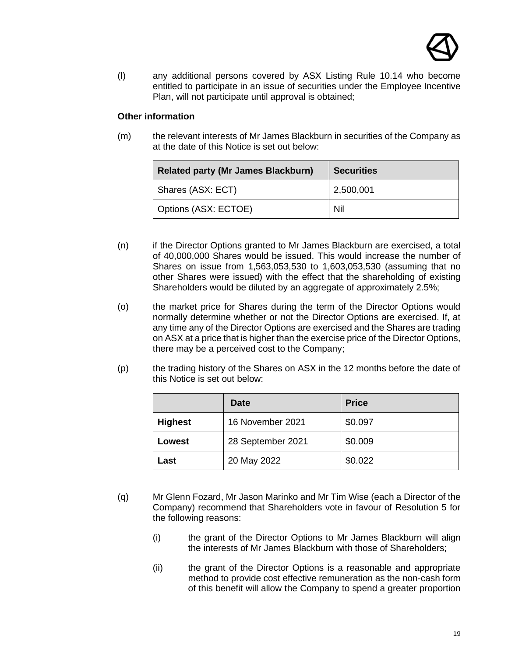

(l) any additional persons covered by ASX Listing Rule 10.14 who become entitled to participate in an issue of securities under the Employee Incentive Plan, will not participate until approval is obtained;

#### **Other information**

(m) the relevant interests of Mr James Blackburn in securities of the Company as at the date of this Notice is set out below:

| <b>Related party (Mr James Blackburn)</b> | <b>Securities</b> |
|-------------------------------------------|-------------------|
| Shares (ASX: ECT)                         | 2,500,001         |
| Options (ASX: ECTOE)                      | Nil               |

- (n) if the Director Options granted to Mr James Blackburn are exercised, a total of 40,000,000 Shares would be issued. This would increase the number of Shares on issue from 1,563,053,530 to 1,603,053,530 (assuming that no other Shares were issued) with the effect that the shareholding of existing Shareholders would be diluted by an aggregate of approximately 2.5%;
- (o) the market price for Shares during the term of the Director Options would normally determine whether or not the Director Options are exercised. If, at any time any of the Director Options are exercised and the Shares are trading on ASX at a price that is higher than the exercise price of the Director Options, there may be a perceived cost to the Company;
- (p) the trading history of the Shares on ASX in the 12 months before the date of this Notice is set out below:

|                | <b>Date</b>       | <b>Price</b> |
|----------------|-------------------|--------------|
| <b>Highest</b> | 16 November 2021  | \$0.097      |
| Lowest         | 28 September 2021 | \$0.009      |
| Last           | 20 May 2022       | \$0.022      |

- (q) Mr Glenn Fozard, Mr Jason Marinko and Mr Tim Wise (each a Director of the Company) recommend that Shareholders vote in favour of Resolution 5 for the following reasons:
	- (i) the grant of the Director Options to Mr James Blackburn will align the interests of Mr James Blackburn with those of Shareholders;
	- (ii) the grant of the Director Options is a reasonable and appropriate method to provide cost effective remuneration as the non-cash form of this benefit will allow the Company to spend a greater proportion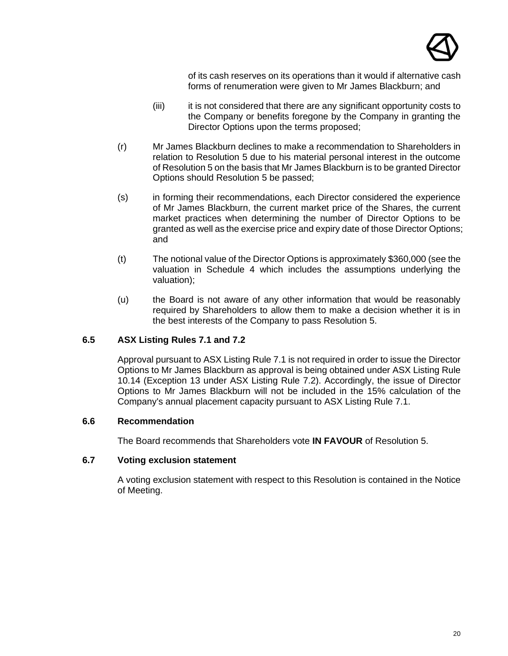

of its cash reserves on its operations than it would if alternative cash forms of renumeration were given to Mr James Blackburn; and

- (iii) it is not considered that there are any significant opportunity costs to the Company or benefits foregone by the Company in granting the Director Options upon the terms proposed;
- (r) Mr James Blackburn declines to make a recommendation to Shareholders in relation to Resolution 5 due to his material personal interest in the outcome of Resolution 5 on the basis that Mr James Blackburn is to be granted Director Options should Resolution 5 be passed;
- (s) in forming their recommendations, each Director considered the experience of Mr James Blackburn, the current market price of the Shares, the current market practices when determining the number of Director Options to be granted as well as the exercise price and expiry date of those Director Options; and
- (t) The notional value of the Director Options is approximately \$360,000 (see the valuation in [Schedule 4](#page-31-0) which includes the assumptions underlying the valuation);
- (u) the Board is not aware of any other information that would be reasonably required by Shareholders to allow them to make a decision whether it is in the best interests of the Company to pass Resolution 5.

#### **6.5 ASX Listing Rules 7.1 and 7.2**

Approval pursuant to ASX Listing Rule 7.1 is not required in order to issue the Director Options to Mr James Blackburn as approval is being obtained under ASX Listing Rule 10.14 (Exception 13 under ASX Listing Rule 7.2). Accordingly, the issue of Director Options to Mr James Blackburn will not be included in the 15% calculation of the Company's annual placement capacity pursuant to ASX Listing Rule 7.1.

#### **6.6 Recommendation**

The Board recommends that Shareholders vote **IN FAVOUR** of Resolution 5.

#### **6.7 Voting exclusion statement**

A voting exclusion statement with respect to this Resolution is contained in the Notice of Meeting.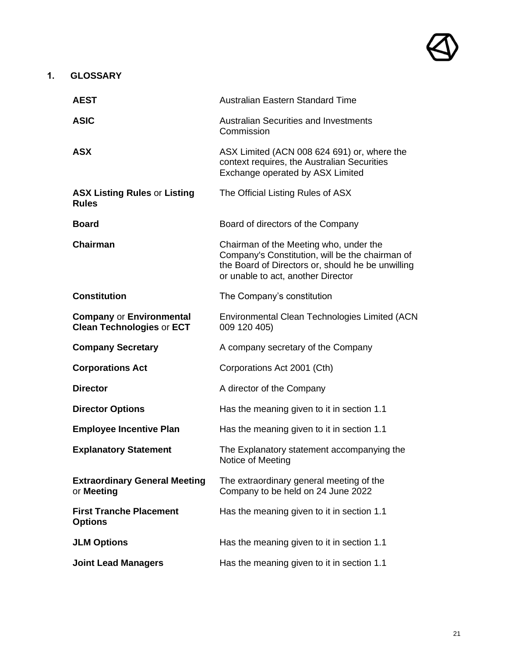#### **1. GLOSSARY**

| <b>AEST</b>                                                         | <b>Australian Eastern Standard Time</b>                                                                                                                                              |
|---------------------------------------------------------------------|--------------------------------------------------------------------------------------------------------------------------------------------------------------------------------------|
| <b>ASIC</b>                                                         | <b>Australian Securities and Investments</b><br>Commission                                                                                                                           |
| <b>ASX</b>                                                          | ASX Limited (ACN 008 624 691) or, where the<br>context requires, the Australian Securities<br>Exchange operated by ASX Limited                                                       |
| <b>ASX Listing Rules or Listing</b><br><b>Rules</b>                 | The Official Listing Rules of ASX                                                                                                                                                    |
| <b>Board</b>                                                        | Board of directors of the Company                                                                                                                                                    |
| <b>Chairman</b>                                                     | Chairman of the Meeting who, under the<br>Company's Constitution, will be the chairman of<br>the Board of Directors or, should he be unwilling<br>or unable to act, another Director |
| <b>Constitution</b>                                                 | The Company's constitution                                                                                                                                                           |
| <b>Company or Environmental</b><br><b>Clean Technologies or ECT</b> | Environmental Clean Technologies Limited (ACN<br>009 120 405)                                                                                                                        |
| <b>Company Secretary</b>                                            | A company secretary of the Company                                                                                                                                                   |
| <b>Corporations Act</b>                                             | Corporations Act 2001 (Cth)                                                                                                                                                          |
| <b>Director</b>                                                     | A director of the Company                                                                                                                                                            |
| <b>Director Options</b>                                             | Has the meaning given to it in section 1.1                                                                                                                                           |
| <b>Employee Incentive Plan</b>                                      | Has the meaning given to it in section 1.1                                                                                                                                           |
| <b>Explanatory Statement</b>                                        | The Explanatory statement accompanying the<br>Notice of Meeting                                                                                                                      |
| <b>Extraordinary General Meeting</b><br>or Meeting                  | The extraordinary general meeting of the<br>Company to be held on 24 June 2022                                                                                                       |
| <b>First Tranche Placement</b><br><b>Options</b>                    | Has the meaning given to it in section 1.1                                                                                                                                           |
| <b>JLM Options</b>                                                  | Has the meaning given to it in section 1.1                                                                                                                                           |
| <b>Joint Lead Managers</b>                                          | Has the meaning given to it in section 1.1                                                                                                                                           |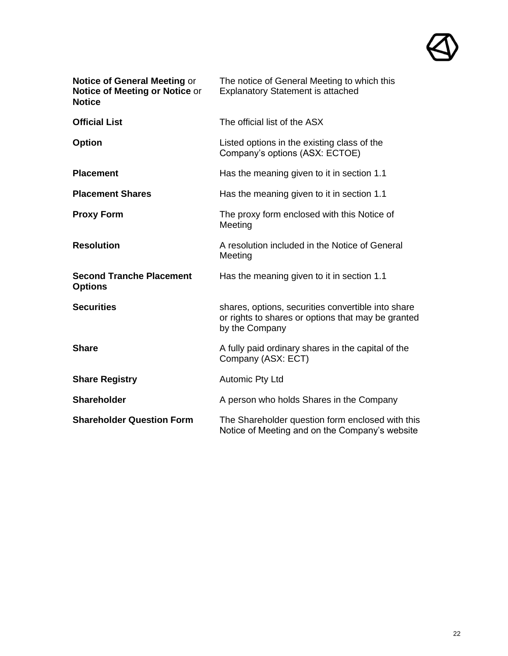

| <b>Notice of General Meeting or</b><br>Notice of Meeting or Notice or<br><b>Notice</b> | The notice of General Meeting to which this<br><b>Explanatory Statement is attached</b>                                    |
|----------------------------------------------------------------------------------------|----------------------------------------------------------------------------------------------------------------------------|
| <b>Official List</b>                                                                   | The official list of the ASX                                                                                               |
| <b>Option</b>                                                                          | Listed options in the existing class of the<br>Company's options (ASX: ECTOE)                                              |
| <b>Placement</b>                                                                       | Has the meaning given to it in section 1.1                                                                                 |
| <b>Placement Shares</b>                                                                | Has the meaning given to it in section 1.1                                                                                 |
| <b>Proxy Form</b>                                                                      | The proxy form enclosed with this Notice of<br>Meeting                                                                     |
| <b>Resolution</b>                                                                      | A resolution included in the Notice of General<br>Meeting                                                                  |
| <b>Second Tranche Placement</b><br><b>Options</b>                                      | Has the meaning given to it in section 1.1                                                                                 |
| <b>Securities</b>                                                                      | shares, options, securities convertible into share<br>or rights to shares or options that may be granted<br>by the Company |
| <b>Share</b>                                                                           | A fully paid ordinary shares in the capital of the<br>Company (ASX: ECT)                                                   |
| <b>Share Registry</b>                                                                  | <b>Automic Pty Ltd</b>                                                                                                     |
| <b>Shareholder</b>                                                                     | A person who holds Shares in the Company                                                                                   |
| <b>Shareholder Question Form</b>                                                       | The Shareholder question form enclosed with this<br>Notice of Meeting and on the Company's website                         |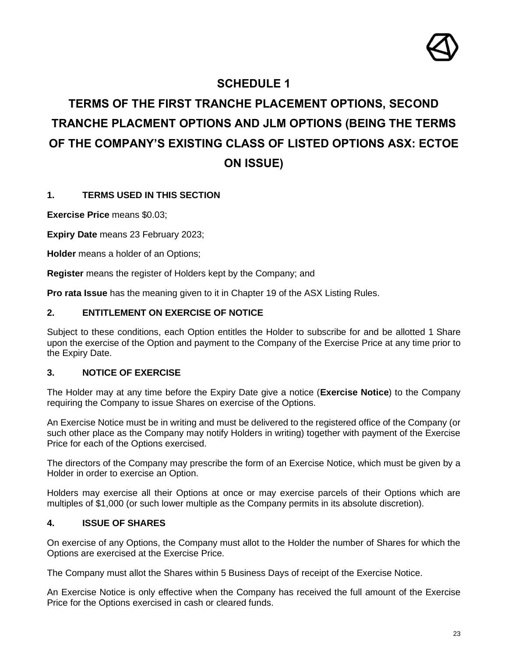

## **SCHEDULE 1**

## <span id="page-22-0"></span>**TERMS OF THE FIRST TRANCHE PLACEMENT OPTIONS, SECOND TRANCHE PLACMENT OPTIONS AND JLM OPTIONS (BEING THE TERMS OF THE COMPANY'S EXISTING CLASS OF LISTED OPTIONS ASX: ECTOE ON ISSUE)**

#### **1. TERMS USED IN THIS SECTION**

**Exercise Price** means \$0.03;

**Expiry Date** means 23 February 2023;

**Holder** means a holder of an Options;

**Register** means the register of Holders kept by the Company; and

**Pro rata Issue** has the meaning given to it in Chapter 19 of the ASX Listing Rules.

#### **2. ENTITLEMENT ON EXERCISE OF NOTICE**

Subject to these conditions, each Option entitles the Holder to subscribe for and be allotted 1 Share upon the exercise of the Option and payment to the Company of the Exercise Price at any time prior to the Expiry Date.

#### **3. NOTICE OF EXERCISE**

The Holder may at any time before the Expiry Date give a notice (**Exercise Notice**) to the Company requiring the Company to issue Shares on exercise of the Options.

An Exercise Notice must be in writing and must be delivered to the registered office of the Company (or such other place as the Company may notify Holders in writing) together with payment of the Exercise Price for each of the Options exercised.

The directors of the Company may prescribe the form of an Exercise Notice, which must be given by a Holder in order to exercise an Option.

Holders may exercise all their Options at once or may exercise parcels of their Options which are multiples of \$1,000 (or such lower multiple as the Company permits in its absolute discretion).

#### **4. ISSUE OF SHARES**

On exercise of any Options, the Company must allot to the Holder the number of Shares for which the Options are exercised at the Exercise Price.

The Company must allot the Shares within 5 Business Days of receipt of the Exercise Notice.

An Exercise Notice is only effective when the Company has received the full amount of the Exercise Price for the Options exercised in cash or cleared funds.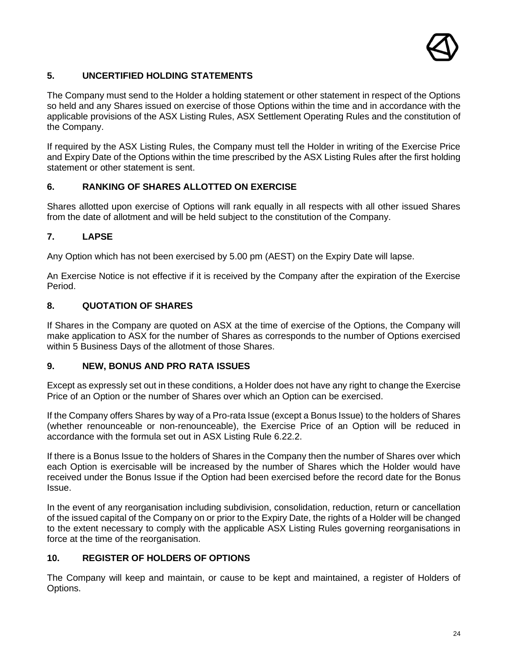

#### **5. UNCERTIFIED HOLDING STATEMENTS**

The Company must send to the Holder a holding statement or other statement in respect of the Options so held and any Shares issued on exercise of those Options within the time and in accordance with the applicable provisions of the ASX Listing Rules, ASX Settlement Operating Rules and the constitution of the Company.

If required by the ASX Listing Rules, the Company must tell the Holder in writing of the Exercise Price and Expiry Date of the Options within the time prescribed by the ASX Listing Rules after the first holding statement or other statement is sent.

#### **6. RANKING OF SHARES ALLOTTED ON EXERCISE**

Shares allotted upon exercise of Options will rank equally in all respects with all other issued Shares from the date of allotment and will be held subject to the constitution of the Company.

#### **7. LAPSE**

Any Option which has not been exercised by 5.00 pm (AEST) on the Expiry Date will lapse.

An Exercise Notice is not effective if it is received by the Company after the expiration of the Exercise Period.

#### **8. QUOTATION OF SHARES**

If Shares in the Company are quoted on ASX at the time of exercise of the Options, the Company will make application to ASX for the number of Shares as corresponds to the number of Options exercised within 5 Business Days of the allotment of those Shares.

#### **9. NEW, BONUS AND PRO RATA ISSUES**

Except as expressly set out in these conditions, a Holder does not have any right to change the Exercise Price of an Option or the number of Shares over which an Option can be exercised.

If the Company offers Shares by way of a Pro-rata Issue (except a Bonus Issue) to the holders of Shares (whether renounceable or non-renounceable), the Exercise Price of an Option will be reduced in accordance with the formula set out in ASX Listing Rule 6.22.2.

If there is a Bonus Issue to the holders of Shares in the Company then the number of Shares over which each Option is exercisable will be increased by the number of Shares which the Holder would have received under the Bonus Issue if the Option had been exercised before the record date for the Bonus Issue.

In the event of any reorganisation including subdivision, consolidation, reduction, return or cancellation of the issued capital of the Company on or prior to the Expiry Date, the rights of a Holder will be changed to the extent necessary to comply with the applicable ASX Listing Rules governing reorganisations in force at the time of the reorganisation.

#### **10. REGISTER OF HOLDERS OF OPTIONS**

The Company will keep and maintain, or cause to be kept and maintained, a register of Holders of Options.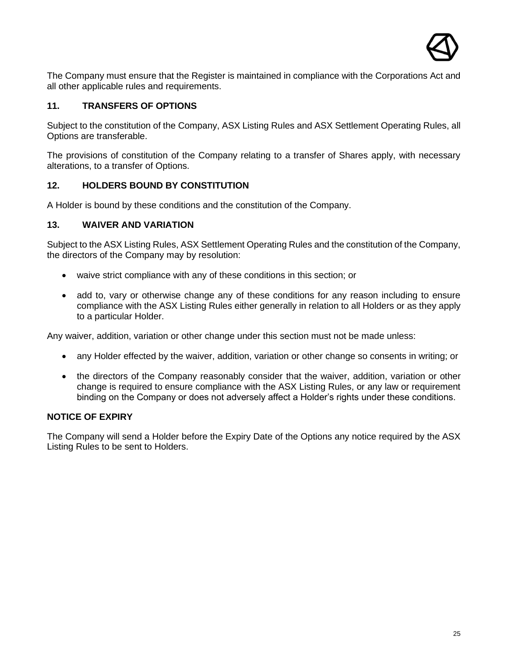

The Company must ensure that the Register is maintained in compliance with the Corporations Act and all other applicable rules and requirements.

#### **11. TRANSFERS OF OPTIONS**

Subject to the constitution of the Company, ASX Listing Rules and ASX Settlement Operating Rules, all Options are transferable.

The provisions of constitution of the Company relating to a transfer of Shares apply, with necessary alterations, to a transfer of Options.

#### **12. HOLDERS BOUND BY CONSTITUTION**

A Holder is bound by these conditions and the constitution of the Company.

#### **13. WAIVER AND VARIATION**

Subject to the ASX Listing Rules, ASX Settlement Operating Rules and the constitution of the Company, the directors of the Company may by resolution:

- waive strict compliance with any of these conditions in this section; or
- add to, vary or otherwise change any of these conditions for any reason including to ensure compliance with the ASX Listing Rules either generally in relation to all Holders or as they apply to a particular Holder.

Any waiver, addition, variation or other change under this section must not be made unless:

- any Holder effected by the waiver, addition, variation or other change so consents in writing; or
- the directors of the Company reasonably consider that the waiver, addition, variation or other change is required to ensure compliance with the ASX Listing Rules, or any law or requirement binding on the Company or does not adversely affect a Holder's rights under these conditions.

#### **NOTICE OF EXPIRY**

The Company will send a Holder before the Expiry Date of the Options any notice required by the ASX Listing Rules to be sent to Holders.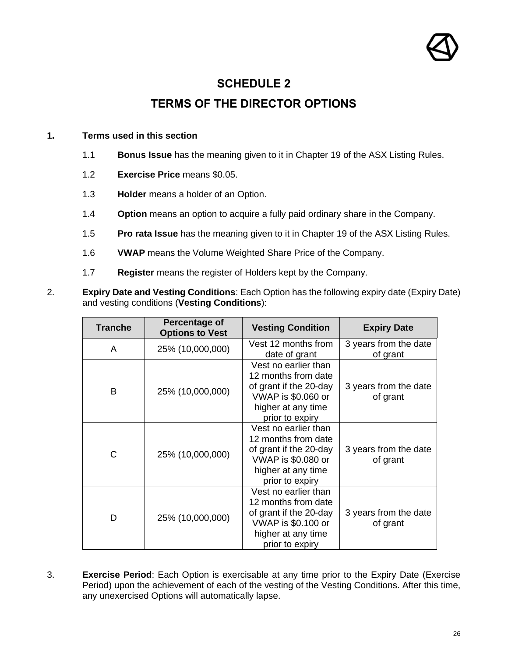

## **SCHEDULE 2**

## **TERMS OF THE DIRECTOR OPTIONS**

#### <span id="page-25-0"></span>**1. Terms used in this section**

- 1.1 **Bonus Issue** has the meaning given to it in Chapter 19 of the ASX Listing Rules.
- 1.2 **Exercise Price** means \$0.05.
- 1.3 **Holder** means a holder of an Option.
- 1.4 **Option** means an option to acquire a fully paid ordinary share in the Company.
- 1.5 **Pro rata Issue** has the meaning given to it in Chapter 19 of the ASX Listing Rules.
- 1.6 **VWAP** means the Volume Weighted Share Price of the Company.
- 1.7 **Register** means the register of Holders kept by the Company.
- 2. **Expiry Date and Vesting Conditions**: Each Option has the following expiry date (Expiry Date) and vesting conditions (**Vesting Conditions**):

| <b>Tranche</b> | Percentage of<br><b>Options to Vest</b> | <b>Vesting Condition</b>                                                                                                                    | <b>Expiry Date</b>                |
|----------------|-----------------------------------------|---------------------------------------------------------------------------------------------------------------------------------------------|-----------------------------------|
| A              | 25% (10,000,000)                        | Vest 12 months from<br>date of grant                                                                                                        | 3 years from the date<br>of grant |
| B              | 25% (10,000,000)                        | Vest no earlier than<br>12 months from date<br>of grant if the 20-day<br>VWAP is \$0.060 or<br>higher at any time<br>prior to expiry        | 3 years from the date<br>of grant |
| C              | 25% (10,000,000)                        | Vest no earlier than<br>12 months from date<br>of grant if the 20-day<br><b>VWAP</b> is \$0.080 or<br>higher at any time<br>prior to expiry | 3 years from the date<br>of grant |
| D              | 25% (10,000,000)                        | Vest no earlier than<br>12 months from date<br>of grant if the 20-day<br><b>VWAP is \$0.100 or</b><br>higher at any time<br>prior to expiry | 3 years from the date<br>of grant |

3. **Exercise Period**: Each Option is exercisable at any time prior to the Expiry Date (Exercise Period) upon the achievement of each of the vesting of the Vesting Conditions. After this time, any unexercised Options will automatically lapse.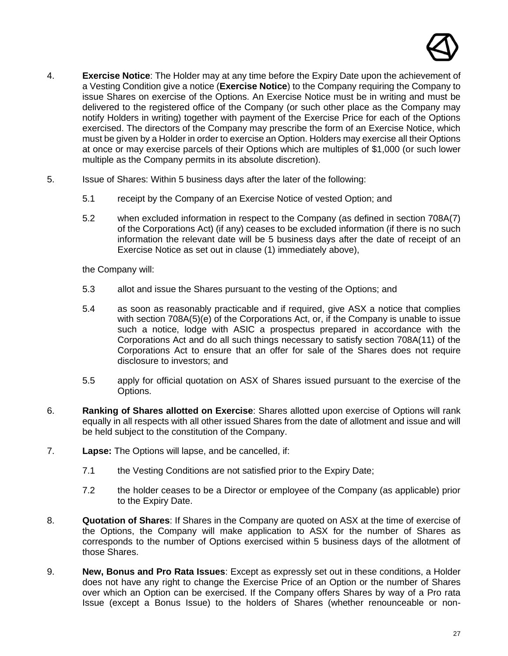

- 4. **Exercise Notice**: The Holder may at any time before the Expiry Date upon the achievement of a Vesting Condition give a notice (**Exercise Notice**) to the Company requiring the Company to issue Shares on exercise of the Options. An Exercise Notice must be in writing and must be delivered to the registered office of the Company (or such other place as the Company may notify Holders in writing) together with payment of the Exercise Price for each of the Options exercised. The directors of the Company may prescribe the form of an Exercise Notice, which must be given by a Holder in order to exercise an Option. Holders may exercise all their Options at once or may exercise parcels of their Options which are multiples of \$1,000 (or such lower multiple as the Company permits in its absolute discretion).
- 5. Issue of Shares: Within 5 business days after the later of the following:
	- 5.1 receipt by the Company of an Exercise Notice of vested Option; and
	- 5.2 when excluded information in respect to the Company (as defined in section 708A(7) of the Corporations Act) (if any) ceases to be excluded information (if there is no such information the relevant date will be 5 business days after the date of receipt of an Exercise Notice as set out in clause (1) immediately above),

the Company will:

- 5.3 allot and issue the Shares pursuant to the vesting of the Options; and
- 5.4 as soon as reasonably practicable and if required, give ASX a notice that complies with section 708A(5)(e) of the Corporations Act, or, if the Company is unable to issue such a notice, lodge with ASIC a prospectus prepared in accordance with the Corporations Act and do all such things necessary to satisfy section 708A(11) of the Corporations Act to ensure that an offer for sale of the Shares does not require disclosure to investors; and
- 5.5 apply for official quotation on ASX of Shares issued pursuant to the exercise of the Options.
- 6. **Ranking of Shares allotted on Exercise**: Shares allotted upon exercise of Options will rank equally in all respects with all other issued Shares from the date of allotment and issue and will be held subject to the constitution of the Company.
- 7. **Lapse:** The Options will lapse, and be cancelled, if:
	- 7.1 the Vesting Conditions are not satisfied prior to the Expiry Date;
	- 7.2 the holder ceases to be a Director or employee of the Company (as applicable) prior to the Expiry Date.
- 8. **Quotation of Shares**: If Shares in the Company are quoted on ASX at the time of exercise of the Options, the Company will make application to ASX for the number of Shares as corresponds to the number of Options exercised within 5 business days of the allotment of those Shares.
- 9. **New, Bonus and Pro Rata Issues**: Except as expressly set out in these conditions, a Holder does not have any right to change the Exercise Price of an Option or the number of Shares over which an Option can be exercised. If the Company offers Shares by way of a Pro rata Issue (except a Bonus Issue) to the holders of Shares (whether renounceable or non-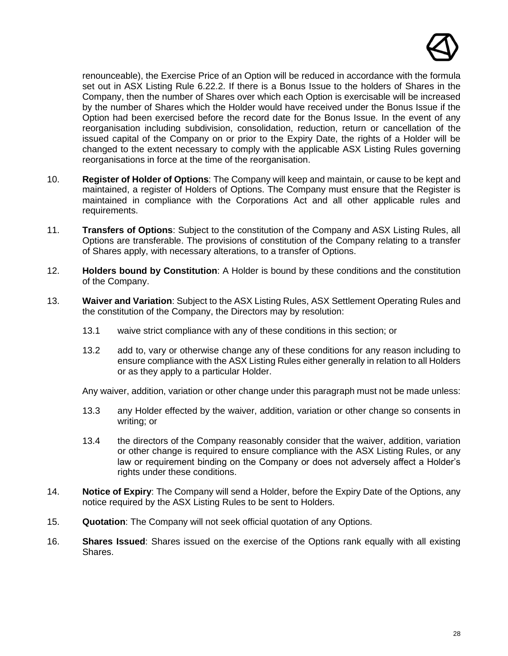

renounceable), the Exercise Price of an Option will be reduced in accordance with the formula set out in ASX Listing Rule 6.22.2. If there is a Bonus Issue to the holders of Shares in the Company, then the number of Shares over which each Option is exercisable will be increased by the number of Shares which the Holder would have received under the Bonus Issue if the Option had been exercised before the record date for the Bonus Issue. In the event of any reorganisation including subdivision, consolidation, reduction, return or cancellation of the issued capital of the Company on or prior to the Expiry Date, the rights of a Holder will be changed to the extent necessary to comply with the applicable ASX Listing Rules governing reorganisations in force at the time of the reorganisation.

- 10. **Register of Holder of Options**: The Company will keep and maintain, or cause to be kept and maintained, a register of Holders of Options. The Company must ensure that the Register is maintained in compliance with the Corporations Act and all other applicable rules and requirements.
- 11. **Transfers of Options**: Subject to the constitution of the Company and ASX Listing Rules, all Options are transferable. The provisions of constitution of the Company relating to a transfer of Shares apply, with necessary alterations, to a transfer of Options.
- 12. **Holders bound by Constitution**: A Holder is bound by these conditions and the constitution of the Company.
- 13. **Waiver and Variation**: Subject to the ASX Listing Rules, ASX Settlement Operating Rules and the constitution of the Company, the Directors may by resolution:
	- 13.1 waive strict compliance with any of these conditions in this section; or
	- 13.2 add to, vary or otherwise change any of these conditions for any reason including to ensure compliance with the ASX Listing Rules either generally in relation to all Holders or as they apply to a particular Holder.

Any waiver, addition, variation or other change under this paragraph must not be made unless:

- 13.3 any Holder effected by the waiver, addition, variation or other change so consents in writing; or
- 13.4 the directors of the Company reasonably consider that the waiver, addition, variation or other change is required to ensure compliance with the ASX Listing Rules, or any law or requirement binding on the Company or does not adversely affect a Holder's rights under these conditions.
- 14. **Notice of Expiry**: The Company will send a Holder, before the Expiry Date of the Options, any notice required by the ASX Listing Rules to be sent to Holders.
- 15. **Quotation**: The Company will not seek official quotation of any Options.
- 16. **Shares Issued**: Shares issued on the exercise of the Options rank equally with all existing Shares.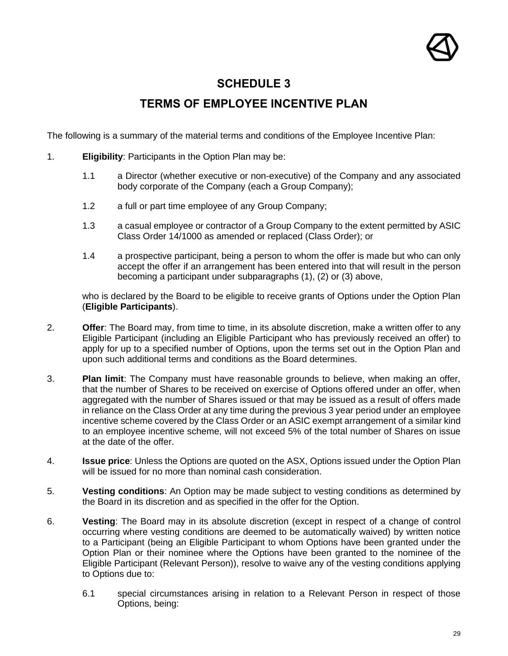

### **SCHEDULE 3**

## **TERMS OF EMPLOYEE INCENTIVE PLAN**

<span id="page-28-0"></span>The following is a summary of the material terms and conditions of the Employee Incentive Plan:

- 1. **Eligibility**: Participants in the Option Plan may be:
	- 1.1 a Director (whether executive or non-executive) of the Company and any associated body corporate of the Company (each a Group Company);
	- 1.2 a full or part time employee of any Group Company;
	- 1.3 a casual employee or contractor of a Group Company to the extent permitted by ASIC Class Order 14/1000 as amended or replaced (Class Order); or
	- 1.4 a prospective participant, being a person to whom the offer is made but who can only accept the offer if an arrangement has been entered into that will result in the person becoming a participant under subparagraphs (1), (2) or (3) above,

who is declared by the Board to be eligible to receive grants of Options under the Option Plan (**Eligible Participants**).

- 2. **Offer**: The Board may, from time to time, in its absolute discretion, make a written offer to any Eligible Participant (including an Eligible Participant who has previously received an offer) to apply for up to a specified number of Options, upon the terms set out in the Option Plan and upon such additional terms and conditions as the Board determines.
- 3. **Plan limit**: The Company must have reasonable grounds to believe, when making an offer, that the number of Shares to be received on exercise of Options offered under an offer, when aggregated with the number of Shares issued or that may be issued as a result of offers made in reliance on the Class Order at any time during the previous 3 year period under an employee incentive scheme covered by the Class Order or an ASIC exempt arrangement of a similar kind to an employee incentive scheme, will not exceed 5% of the total number of Shares on issue at the date of the offer.
- 4. **Issue price**: Unless the Options are quoted on the ASX, Options issued under the Option Plan will be issued for no more than nominal cash consideration.
- 5. **Vesting conditions**: An Option may be made subject to vesting conditions as determined by the Board in its discretion and as specified in the offer for the Option.
- 6. **Vesting**: The Board may in its absolute discretion (except in respect of a change of control occurring where vesting conditions are deemed to be automatically waived) by written notice to a Participant (being an Eligible Participant to whom Options have been granted under the Option Plan or their nominee where the Options have been granted to the nominee of the Eligible Participant (Relevant Person)), resolve to waive any of the vesting conditions applying to Options due to:
	- 6.1 special circumstances arising in relation to a Relevant Person in respect of those Options, being: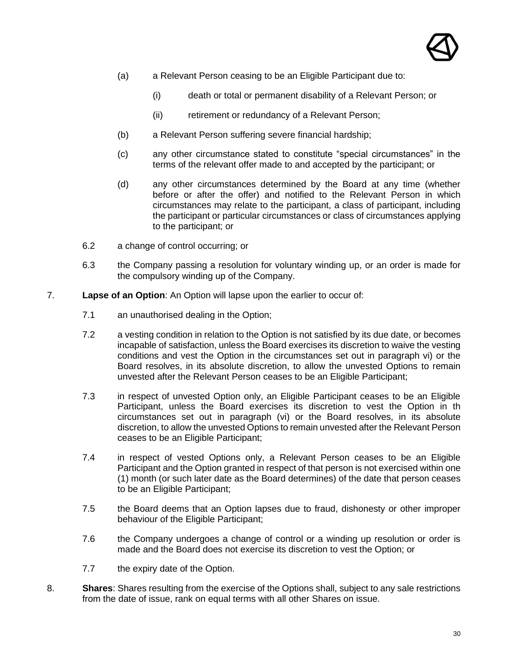

- (a) a Relevant Person ceasing to be an Eligible Participant due to:
	- (i) death or total or permanent disability of a Relevant Person; or
	- (ii) retirement or redundancy of a Relevant Person;
- (b) a Relevant Person suffering severe financial hardship;
- (c) any other circumstance stated to constitute "special circumstances" in the terms of the relevant offer made to and accepted by the participant; or
- (d) any other circumstances determined by the Board at any time (whether before or after the offer) and notified to the Relevant Person in which circumstances may relate to the participant, a class of participant, including the participant or particular circumstances or class of circumstances applying to the participant; or
- 6.2 a change of control occurring; or
- 6.3 the Company passing a resolution for voluntary winding up, or an order is made for the compulsory winding up of the Company.
- 7. **Lapse of an Option**: An Option will lapse upon the earlier to occur of:
	- 7.1 an unauthorised dealing in the Option;
	- 7.2 a vesting condition in relation to the Option is not satisfied by its due date, or becomes incapable of satisfaction, unless the Board exercises its discretion to waive the vesting conditions and vest the Option in the circumstances set out in paragraph vi) or the Board resolves, in its absolute discretion, to allow the unvested Options to remain unvested after the Relevant Person ceases to be an Eligible Participant;
	- 7.3 in respect of unvested Option only, an Eligible Participant ceases to be an Eligible Participant, unless the Board exercises its discretion to vest the Option in th circumstances set out in paragraph (vi) or the Board resolves, in its absolute discretion, to allow the unvested Options to remain unvested after the Relevant Person ceases to be an Eligible Participant;
	- 7.4 in respect of vested Options only, a Relevant Person ceases to be an Eligible Participant and the Option granted in respect of that person is not exercised within one (1) month (or such later date as the Board determines) of the date that person ceases to be an Eligible Participant;
	- 7.5 the Board deems that an Option lapses due to fraud, dishonesty or other improper behaviour of the Eligible Participant;
	- 7.6 the Company undergoes a change of control or a winding up resolution or order is made and the Board does not exercise its discretion to vest the Option; or
	- 7.7 the expiry date of the Option.
- 8. **Shares**: Shares resulting from the exercise of the Options shall, subject to any sale restrictions from the date of issue, rank on equal terms with all other Shares on issue.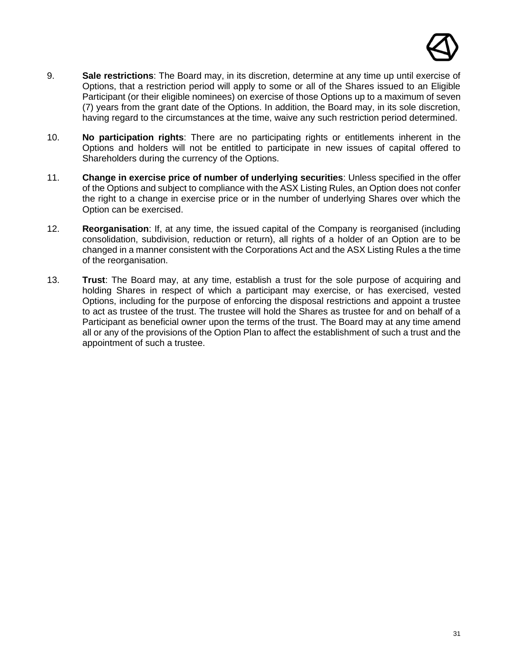

- 9. **Sale restrictions**: The Board may, in its discretion, determine at any time up until exercise of Options, that a restriction period will apply to some or all of the Shares issued to an Eligible Participant (or their eligible nominees) on exercise of those Options up to a maximum of seven (7) years from the grant date of the Options. In addition, the Board may, in its sole discretion, having regard to the circumstances at the time, waive any such restriction period determined.
- 10. **No participation rights**: There are no participating rights or entitlements inherent in the Options and holders will not be entitled to participate in new issues of capital offered to Shareholders during the currency of the Options.
- 11. **Change in exercise price of number of underlying securities**: Unless specified in the offer of the Options and subject to compliance with the ASX Listing Rules, an Option does not confer the right to a change in exercise price or in the number of underlying Shares over which the Option can be exercised.
- 12. **Reorganisation**: If, at any time, the issued capital of the Company is reorganised (including consolidation, subdivision, reduction or return), all rights of a holder of an Option are to be changed in a manner consistent with the Corporations Act and the ASX Listing Rules a the time of the reorganisation.
- 13. **Trust**: The Board may, at any time, establish a trust for the sole purpose of acquiring and holding Shares in respect of which a participant may exercise, or has exercised, vested Options, including for the purpose of enforcing the disposal restrictions and appoint a trustee to act as trustee of the trust. The trustee will hold the Shares as trustee for and on behalf of a Participant as beneficial owner upon the terms of the trust. The Board may at any time amend all or any of the provisions of the Option Plan to affect the establishment of such a trust and the appointment of such a trustee.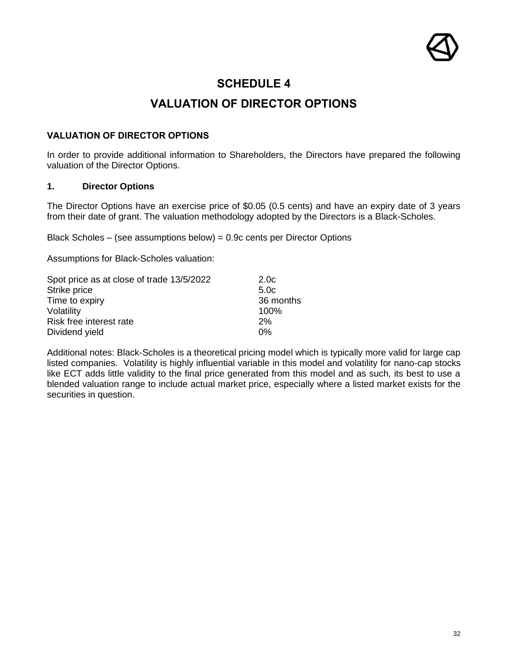

#### **SCHEDULE 4**

## **VALUATION OF DIRECTOR OPTIONS**

#### <span id="page-31-0"></span>**VALUATION OF DIRECTOR OPTIONS**

In order to provide additional information to Shareholders, the Directors have prepared the following valuation of the Director Options.

#### **1. Director Options**

The Director Options have an exercise price of \$0.05 (0.5 cents) and have an expiry date of 3 years from their date of grant. The valuation methodology adopted by the Directors is a Black-Scholes.

Black Scholes – (see assumptions below) = 0.9c cents per Director Options

Assumptions for Black-Scholes valuation:

| Spot price as at close of trade 13/5/2022 | 2.0 <sub>c</sub> |
|-------------------------------------------|------------------|
| Strike price                              | 5.0 <sub>c</sub> |
| Time to expiry                            | 36 months        |
| Volatility                                | 100%             |
| Risk free interest rate                   | 2%               |
| Dividend yield                            | $0\%$            |

Additional notes: Black-Scholes is a theoretical pricing model which is typically more valid for large cap listed companies. Volatility is highly influential variable in this model and volatility for nano-cap stocks like ECT adds little validity to the final price generated from this model and as such, its best to use a blended valuation range to include actual market price, especially where a listed market exists for the securities in question.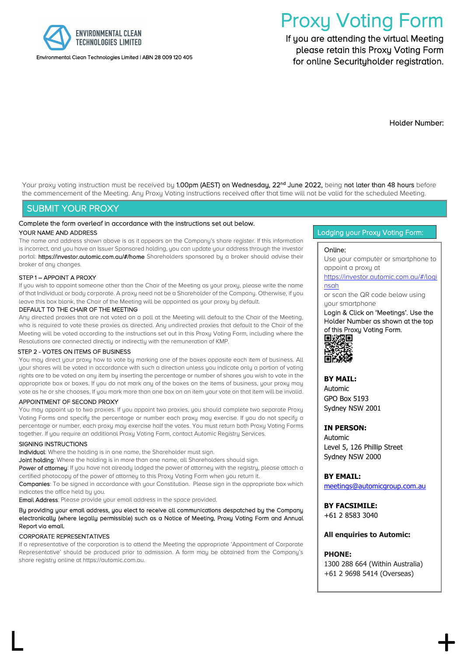

#### Environmental Clean Technologies Limited | ABN 28 009 120 405

# Proxy Voting Form<br>If you are attending the virtual Meeting

 please retain this Proxy Voting Form for online Securityholder registration.

Holder Number:

Your proxy voting instruction must be received by 1.00pm (AEST) on Wednesday, 22<sup>nd</sup> June 2022, being not later than 48 hours before the commencement of the Meeting. Any Proxy Voting instructions received after that time will not be valid for the scheduled Meeting.

#### SUBMIT YOUR PROXY

## Complete the form overleaf in accordance with the instructions set out below.

#### YOUR NAME AND ADDRESS

The name and address shown above is as it appears on the Company's share register. If this information is incorrect, and you have an Issuer Sponsored holding, you can update your address through the investor portal: https://investor.automic.com.au/#/home Shareholders sponsored by a broker should advise their broker of any changes.

#### STEP 1 – APPOINT A PROXY

If you wish to appoint someone other than the Chair of the Meeting as your proxy, please write the name of that Individual or body corporate. A proxy need not be a Shareholder of the Company. Otherwise, if you leave this box blank, the Chair of the Meeting will be appointed as your proxy by default.

#### DEFAULT TO THE CHAIR OF THE MEETING

Any directed proxies that are not voted on a poll at the Meeting will default to the Chair of the Meeting, who is required to vote these proxies as directed. Any undirected proxies that default to the Chair of the Meeting will be voted according to the instructions set out in this Proxy Voting Form, including where the Resolutions are connected directly or indirectly with the remuneration of KMP.

#### STEP 2 - VOTES ON ITEMS OF BUSINESS

You may direct your proxy how to vote by marking one of the boxes opposite each item of business. All your shares will be voted in accordance with such a direction unless you indicate only a portion of voting rights are to be voted on any item by inserting the percentage or number of shares you wish to vote in the appropriate box or boxes. If you do not mark any of the boxes on the items of business, your proxy may vote as he or she chooses. If you mark more than one box on an item your vote on that item will be invalid.

#### APPOINTMENT OF SECOND PROXY

You may appoint up to two proxies. If you appoint two proxies, you should complete two separate Proxy Voting Forms and specify the percentage or number each proxy may exercise. If you do not specify a percentage or number, each proxy may exercise half the votes. You must return both Proxy Voting Forms together. If you require an additional Proxy Voting Form, contact Automic Registry Services.

#### SIGNING INSTRUCTIONS

Individual: Where the holding is in one name, the Shareholder must sign.

Joint holding: Where the holding is in more than one name, all Shareholders should sign.

Power of attorney: If you have not already lodged the power of attorney with the registry, please attach a certified photocopy of the power of attorney to this Proxy Voting Form when you return it.

Companies: To be signed in accordance with your Constitution. Please sign in the appropriate box which indicates the office held by you.

Email Address: Please provide your email address in the space provided.

#### By providing your email address, you elect to receive all communications despatched by the Company electronically (where legally permissible) such as a Notice of Meeting, Proxy Voting Form and Annual Report via email.

#### CORPORATE REPRESENTATIVES

If a representative of the corporation is to attend the Meeting the appropriate 'Appointment of Corporate Representative' should be produced prior to admission. A form may be obtained from the Company's share registry online at https://automic.com.au.

 $\mathsf{L}$  +  $\mathsf{+}$ 

#### Lodging your Proxy Voting Form:

#### Online:

Use your computer or smartphone to appoint a proxy at

#### [https://investor.automic.com.au/#/logi](https://investor.automic.com.au/#/loginsah) [nsah](https://investor.automic.com.au/#/loginsah)

or scan the QR code below using your smartphone

Login & Click on 'Meetings'. Use the Holder Number as shown at the top of this Proxy Voting Form. 回波双回

#### **BY MAIL:**

Automic GPO Box 5193 Sydney NSW 2001

#### **IN PERSON:**

Automic Level 5, 126 Phillip Street Sydney NSW 2000

**BY EMAIL:**

[meetings@automicgroup.com.au](mailto:meetings@automicgroup.com.au)

**BY FACSIMILE:** +61 2 8583 3040

#### **All enquiries to Automic:**

#### **PHONE:**

1300 288 664 (Within Australia) +61 2 9698 5414 (Overseas)